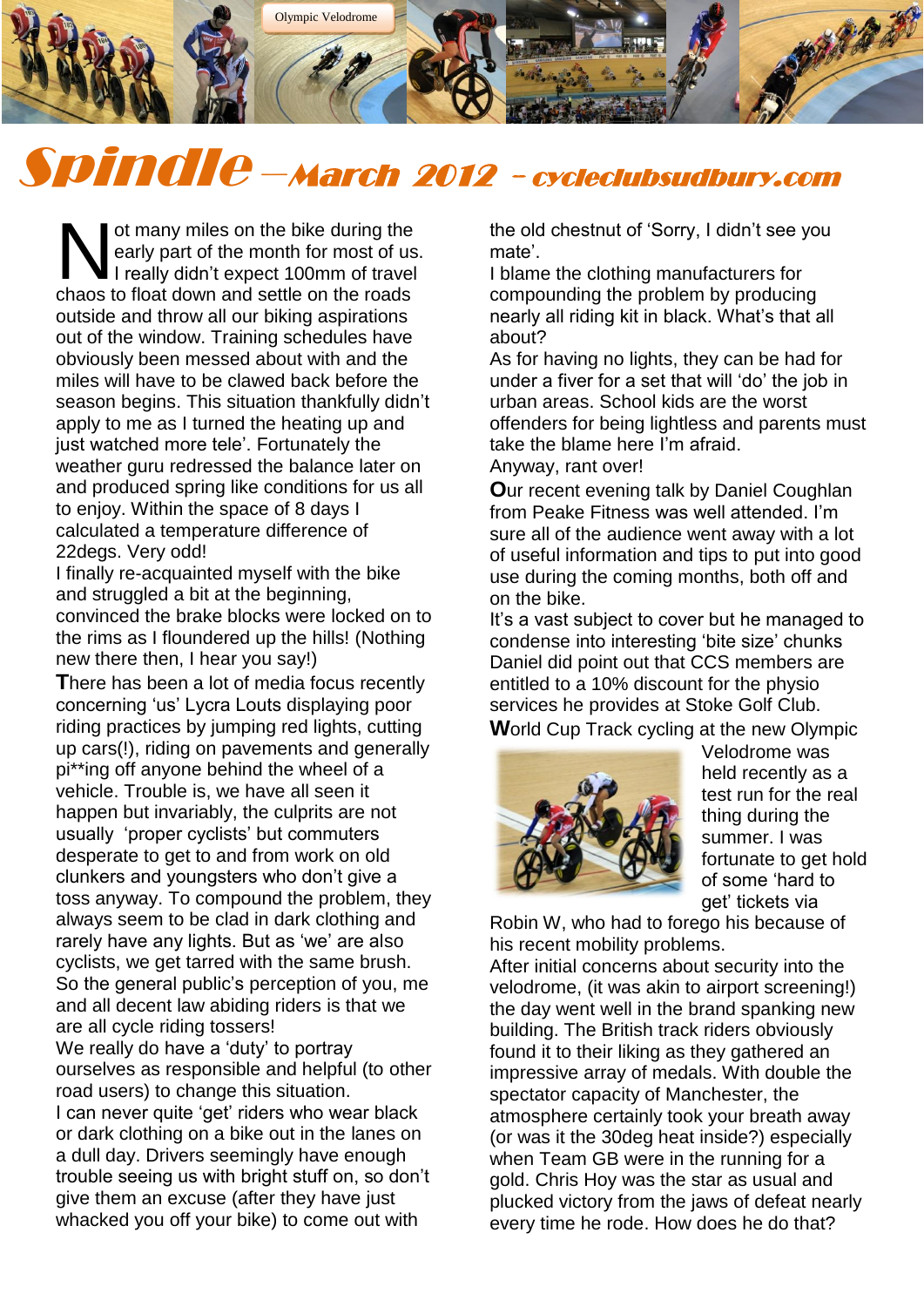

# Spindle –March 2012 - cycleclubsudbury.com

ot many miles on the bike during the early part of the month for most of us. I really didn't expect 100mm of travel ot many miles on the bike during the<br>early part of the month for most of us<br>chaos to float down and settle on the roads outside and throw all our biking aspirations out of the window. Training schedules have obviously been messed about with and the miles will have to be clawed back before the season begins. This situation thankfully didn't apply to me as I turned the heating up and just watched more tele'. Fortunately the weather guru redressed the balance later on and produced spring like conditions for us all to enjoy. Within the space of 8 days I calculated a temperature difference of 22degs. Very odd!

I finally re-acquainted myself with the bike and struggled a bit at the beginning, convinced the brake blocks were locked on to the rims as I floundered up the hills! (Nothing new there then, I hear you say!)

**T**here has been a lot of media focus recently concerning 'us' Lycra Louts displaying poor riding practices by jumping red lights, cutting up cars(!), riding on pavements and generally pi\*\*ing off anyone behind the wheel of a vehicle. Trouble is, we have all seen it happen but invariably, the culprits are not usually 'proper cyclists' but commuters desperate to get to and from work on old clunkers and youngsters who don't give a toss anyway. To compound the problem, they always seem to be clad in dark clothing and rarely have any lights. But as 'we' are also cyclists, we get tarred with the same brush. So the general public's perception of you, me and all decent law abiding riders is that we are all cycle riding tossers! We really do have a 'duty' to portray ourselves as responsible and helpful (to other road users) to change this situation. I can never quite 'get' riders who wear black or dark clothing on a bike out in the lanes on a dull day. Drivers seemingly have enough trouble seeing us with bright stuff on, so don't give them an excuse (after they have just whacked you off your bike) to come out with

the old chestnut of 'Sorry, I didn't see you mate'.

I blame the clothing manufacturers for compounding the problem by producing nearly all riding kit in black. What's that all about?

As for having no lights, they can be had for under a fiver for a set that will 'do' the job in urban areas. School kids are the worst offenders for being lightless and parents must take the blame here I'm afraid. Anyway, rant over!

**O**ur recent evening talk by Daniel Coughlan from Peake Fitness was well attended. I'm sure all of the audience went away with a lot of useful information and tips to put into good use during the coming months, both off and on the bike.

It's a vast subject to cover but he managed to condense into interesting 'bite size' chunks Daniel did point out that CCS members are entitled to a 10% discount for the physio services he provides at Stoke Golf Club. **W**orld Cup Track cycling at the new Olympic



Velodrome was held recently as a test run for the real thing during the summer. I was fortunate to get hold of some 'hard to get' tickets via

Robin W, who had to forego his because of his recent mobility problems.

After initial concerns about security into the velodrome, (it was akin to airport screening!) the day went well in the brand spanking new building. The British track riders obviously found it to their liking as they gathered an impressive array of medals. With double the spectator capacity of Manchester, the atmosphere certainly took your breath away (or was it the 30deg heat inside?) especially when Team GB were in the running for a gold. Chris Hoy was the star as usual and plucked victory from the jaws of defeat nearly every time he rode. How does he do that?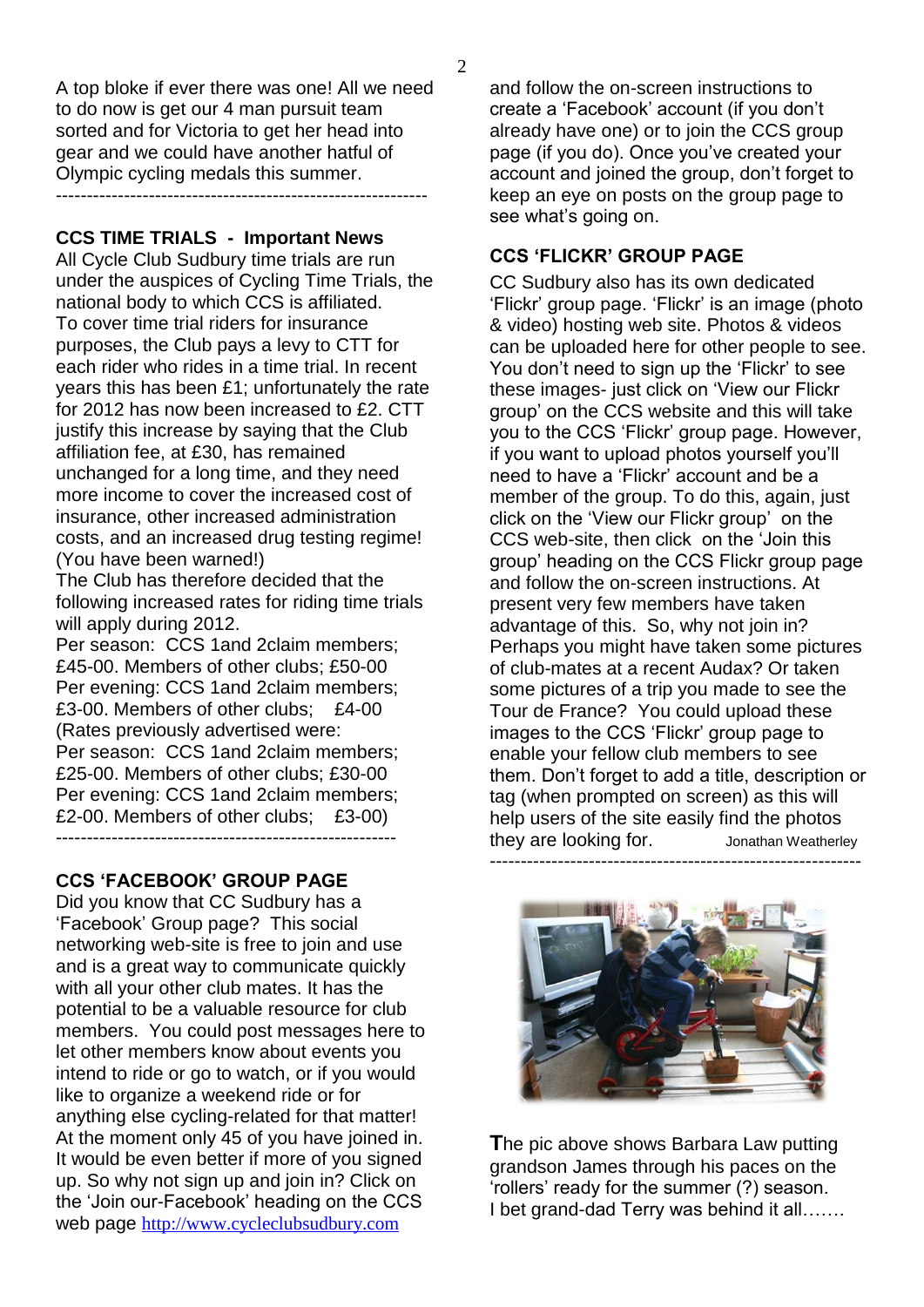A top bloke if ever there was one! All we need to do now is get our 4 man pursuit team sorted and for Victoria to get her head into gear and we could have another hatful of Olympic cycling medals this summer.

------------------------------------------------------------

**CCS TIME TRIALS - Important News** 

All Cycle Club Sudbury time trials are run under the auspices of Cycling Time Trials, the national body to which CCS is affiliated. To cover time trial riders for insurance purposes, the Club pays a levy to CTT for each rider who rides in a time trial. In recent years this has been £1; unfortunately the rate for 2012 has now been increased to £2. CTT justify this increase by saying that the Club affiliation fee, at £30, has remained unchanged for a long time, and they need more income to cover the increased cost of insurance, other increased administration costs, and an increased drug testing regime! (You have been warned!)

The Club has therefore decided that the following increased rates for riding time trials will apply during 2012.

Per season: CCS 1and 2claim members; £45-00. Members of other clubs; £50-00 Per evening: CCS 1and 2claim members; £3-00. Members of other clubs; £4-00 (Rates previously advertised were: Per season: CCS 1and 2claim members; £25-00. Members of other clubs; £30-00 Per evening: CCS 1and 2claim members; £2-00. Members of other clubs; £3-00) -------------------------------------------------------

# **CCS 'FACEBOOK' GROUP PAGE**

Did you know that CC Sudbury has a 'Facebook' Group page? This social networking web-site is free to join and use and is a great way to communicate quickly with all your other club mates. It has the potential to be a valuable resource for club members. You could post messages here to let other members know about events you intend to ride or go to watch, or if you would like to organize a weekend ride or for anything else cycling-related for that matter! At the moment only 45 of you have joined in. It would be even better if more of you signed up. So why not sign up and join in? Click on the 'Join our-Facebook' heading on the CCS web page [http://www.cycleclubsudbury.com](http://www.cycleclubsudbury.com/)

and follow the on-screen instructions to create a 'Facebook' account (if you don't already have one) or to join the CCS group page (if you do). Once you've created your account and joined the group, don't forget to keep an eye on posts on the group page to see what's going on.

# **CCS 'FLICKR' GROUP PAGE**

CC Sudbury also has its own dedicated 'Flickr' group page. 'Flickr' is an image (photo & video) hosting web site. Photos & videos can be uploaded here for other people to see. You don't need to sign up the 'Flickr' to see these images- just click on 'View our Flickr group' on the CCS website and this will take you to the CCS 'Flickr' group page. However, if you want to upload photos yourself you'll need to have a 'Flickr' account and be a member of the group. To do this, again, just click on the 'View our Flickr group' on the CCS web-site, then click on the 'Join this group' heading on the CCS Flickr group page and follow the on-screen instructions. At present very few members have taken advantage of this. So, why not join in? Perhaps you might have taken some pictures of club-mates at a recent Audax? Or taken some pictures of a trip you made to see the Tour de France? You could upload these images to the CCS 'Flickr' group page to enable your fellow club members to see them. Don't forget to add a title, description or tag (when prompted on screen) as this will help users of the site easily find the photos they are looking for. Jonathan Weatherley

------------------------------------------------------------

**T**he pic above shows Barbara Law putting grandson James through his paces on the 'rollers' ready for the summer (?) season. I bet grand-dad Terry was behind it all…….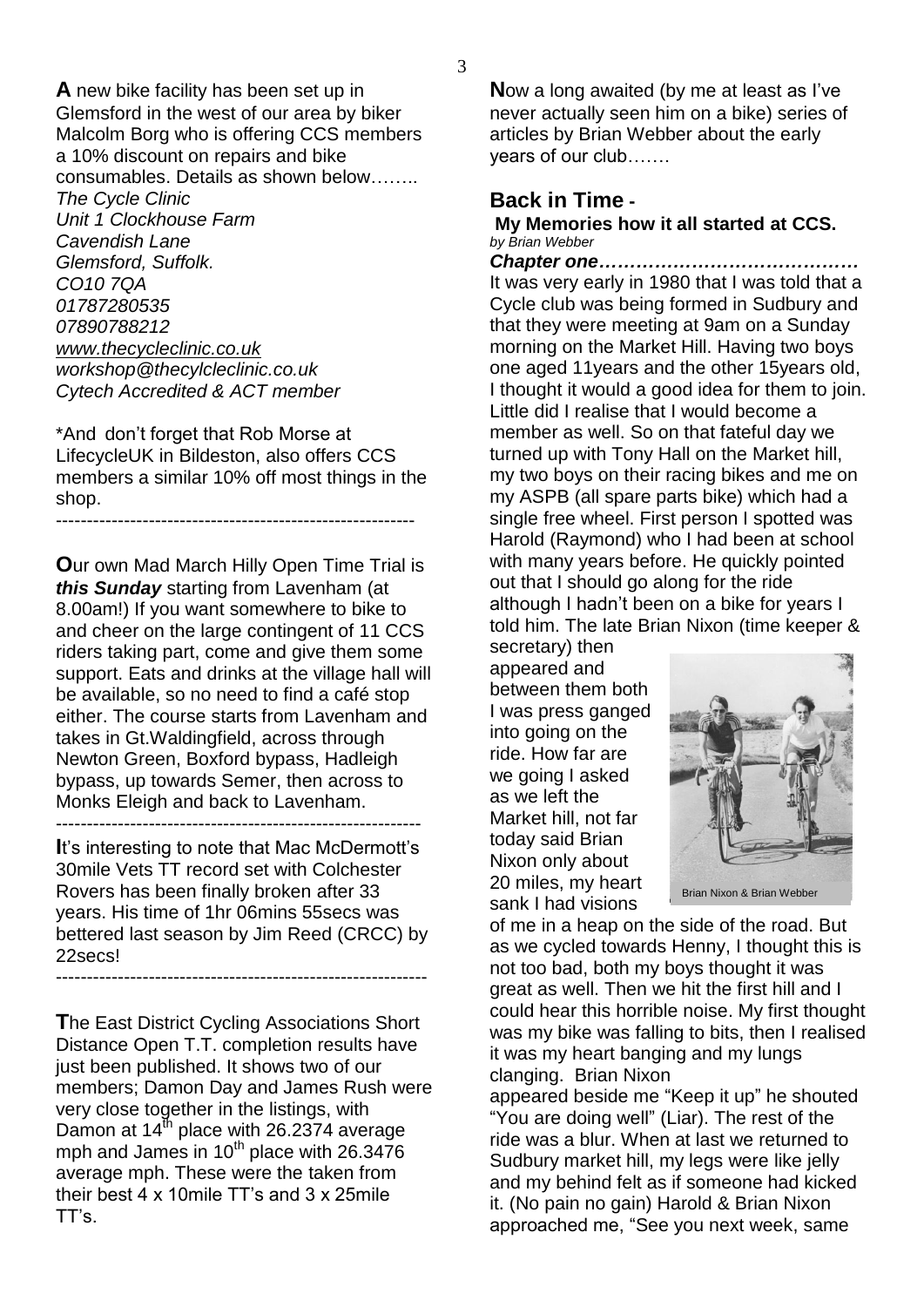**A** new bike facility has been set up in Glemsford in the west of our area by biker Malcolm Borg who is offering CCS members a 10% discount on repairs and bike consumables. Details as shown below…….. *The Cycle Clinic Unit 1 Clockhouse Farm Cavendish Lane Glemsford, Suffolk. CO10 7QA 01787280535 07890788212 [www.thecycleclinic.co.uk](http://www.thecycleclinic.co.uk/) workshop@thecylcleclinic.co.uk Cytech Accredited & ACT member*

\*And don't forget that Rob Morse at LifecycleUK in Bildeston, also offers CCS members a similar 10% off most things in the shop. ----------------------------------------------------------

**O**ur own Mad March Hilly Open Time Trial is *this Sunday* starting from Lavenham (at 8.00am!) If you want somewhere to bike to and cheer on the large contingent of 11 CCS riders taking part, come and give them some support. Eats and drinks at the village hall will be available, so no need to find a café stop either. The course starts from Lavenham and takes in Gt.Waldingfield, across through Newton Green, Boxford bypass, Hadleigh bypass, up towards Semer, then across to Monks Eleigh and back to Lavenham.

-----------------------------------------------------------

**I**t's interesting to note that Mac McDermott's 30mile Vets TT record set with Colchester Rovers has been finally broken after 33 years. His time of 1hr 06mins 55secs was bettered last season by Jim Reed (CRCC) by 22secs!

------------------------------------------------------------

**T**he East District Cycling Associations Short Distance Open T.T. completion results have just been published. It shows two of our members; Damon Day and James Rush were very close together in the listings, with Damon at  $14^{\text{th}}$  place with 26.2374 average mph and James in  $10^{th}$  place with 26.3476 average mph. These were the taken from their best 4 x 10mile TT's and 3 x 25mile TT's.

**N**ow a long awaited (by me at least as I've never actually seen him on a bike) series of articles by Brian Webber about the early years of our club…….

## **Back in Time -**

#### **My Memories how it all started at CCS.**  *by Brian Webber*

*Chapter one……………………………………* It was very early in 1980 that I was told that a Cycle club was being formed in Sudbury and that they were meeting at 9am on a Sunday morning on the Market Hill. Having two boys one aged 11years and the other 15years old, I thought it would a good idea for them to join. Little did I realise that I would become a member as well. So on that fateful day we turned up with Tony Hall on the Market hill, my two boys on their racing bikes and me on my ASPB (all spare parts bike) which had a single free wheel. First person I spotted was Harold (Raymond) who I had been at school with many years before. He quickly pointed out that I should go along for the ride although I hadn't been on a bike for years I told him. The late Brian Nixon (time keeper & secretary) then

appeared and between them both I was press ganged into going on the ride. How far are we going I asked as we left the Market hill, not far today said Brian Nixon only about 20 miles, my heart sank I had visions



of me in a heap on the side of the road. But as we cycled towards Henny, I thought this is not too bad, both my boys thought it was great as well. Then we hit the first hill and I could hear this horrible noise. My first thought was my bike was falling to bits, then I realised it was my heart banging and my lungs clanging. Brian Nixon

appeared beside me "Keep it up" he shouted "You are doing well" (Liar). The rest of the ride was a blur. When at last we returned to Sudbury market hill, my legs were like jelly and my behind felt as if someone had kicked it. (No pain no gain) Harold & Brian Nixon approached me, "See you next week, same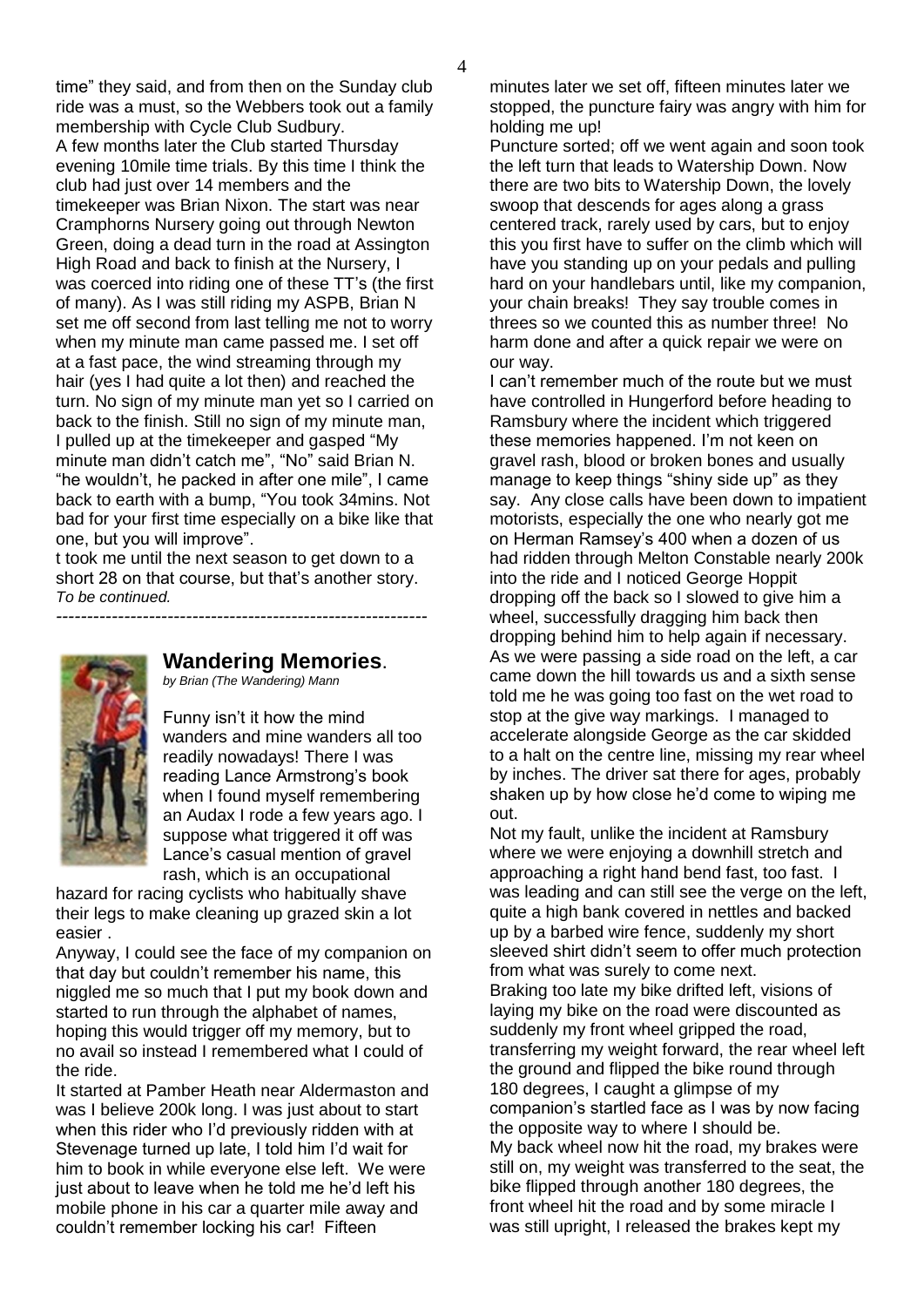time" they said, and from then on the Sunday club ride was a must, so the Webbers took out a family membership with Cycle Club Sudbury. A few months later the Club started Thursday evening 10mile time trials. By this time I think the club had just over 14 members and the timekeeper was Brian Nixon. The start was near Cramphorns Nursery going out through Newton Green, doing a dead turn in the road at Assington High Road and back to finish at the Nursery, I was coerced into riding one of these TT's (the first of many). As I was still riding my ASPB, Brian N set me off second from last telling me not to worry when my minute man came passed me. I set off at a fast pace, the wind streaming through my hair (yes I had quite a lot then) and reached the turn. No sign of my minute man yet so I carried on back to the finish. Still no sign of my minute man, I pulled up at the timekeeper and gasped "My minute man didn't catch me", "No" said Brian N. "he wouldn't, he packed in after one mile", I came back to earth with a bump, "You took 34mins. Not bad for your first time especially on a bike like that one, but you will improve".

t took me until the next season to get down to a short 28 on that course, but that's another story. *To be continued.*



## **Wandering Memories**.

*------------------------------------------------------------*

*by Brian (The Wandering) Mann*

Funny isn't it how the mind wanders and mine wanders all too readily nowadays! There I was reading Lance Armstrong's book when I found myself remembering an Audax I rode a few years ago. I suppose what triggered it off was Lance's casual mention of gravel rash, which is an occupational

hazard for racing cyclists who habitually shave their legs to make cleaning up grazed skin a lot easier .

Anyway, I could see the face of my companion on that day but couldn't remember his name, this niggled me so much that I put my book down and started to run through the alphabet of names, hoping this would trigger off my memory, but to no avail so instead I remembered what I could of the ride.

It started at Pamber Heath near Aldermaston and was I believe 200k long. I was just about to start when this rider who I'd previously ridden with at Stevenage turned up late, I told him I'd wait for him to book in while everyone else left. We were just about to leave when he told me he'd left his mobile phone in his car a quarter mile away and couldn't remember locking his car! Fifteen

minutes later we set off, fifteen minutes later we stopped, the puncture fairy was angry with him for holding me up!

Puncture sorted; off we went again and soon took the left turn that leads to Watership Down. Now there are two bits to Watership Down, the lovely swoop that descends for ages along a grass centered track, rarely used by cars, but to enjoy this you first have to suffer on the climb which will have you standing up on your pedals and pulling hard on your handlebars until, like my companion, your chain breaks! They say trouble comes in threes so we counted this as number three! No harm done and after a quick repair we were on our way.

I can't remember much of the route but we must have controlled in Hungerford before heading to Ramsbury where the incident which triggered these memories happened. I'm not keen on gravel rash, blood or broken bones and usually manage to keep things "shiny side up" as they say. Any close calls have been down to impatient motorists, especially the one who nearly got me on Herman Ramsey's 400 when a dozen of us had ridden through Melton Constable nearly 200k into the ride and I noticed George Hoppit dropping off the back so I slowed to give him a wheel, successfully dragging him back then dropping behind him to help again if necessary. As we were passing a side road on the left, a car came down the hill towards us and a sixth sense told me he was going too fast on the wet road to stop at the give way markings. I managed to accelerate alongside George as the car skidded to a halt on the centre line, missing my rear wheel by inches. The driver sat there for ages, probably shaken up by how close he'd come to wiping me out.

Not my fault, unlike the incident at Ramsbury where we were enjoying a downhill stretch and approaching a right hand bend fast, too fast. I was leading and can still see the verge on the left, quite a high bank covered in nettles and backed up by a barbed wire fence, suddenly my short sleeved shirt didn't seem to offer much protection from what was surely to come next. Braking too late my bike drifted left, visions of laying my bike on the road were discounted as suddenly my front wheel gripped the road, transferring my weight forward, the rear wheel left the ground and flipped the bike round through 180 degrees, I caught a glimpse of my companion's startled face as I was by now facing the opposite way to where I should be. My back wheel now hit the road, my brakes were still on, my weight was transferred to the seat, the bike flipped through another 180 degrees, the front wheel hit the road and by some miracle I was still upright, I released the brakes kept my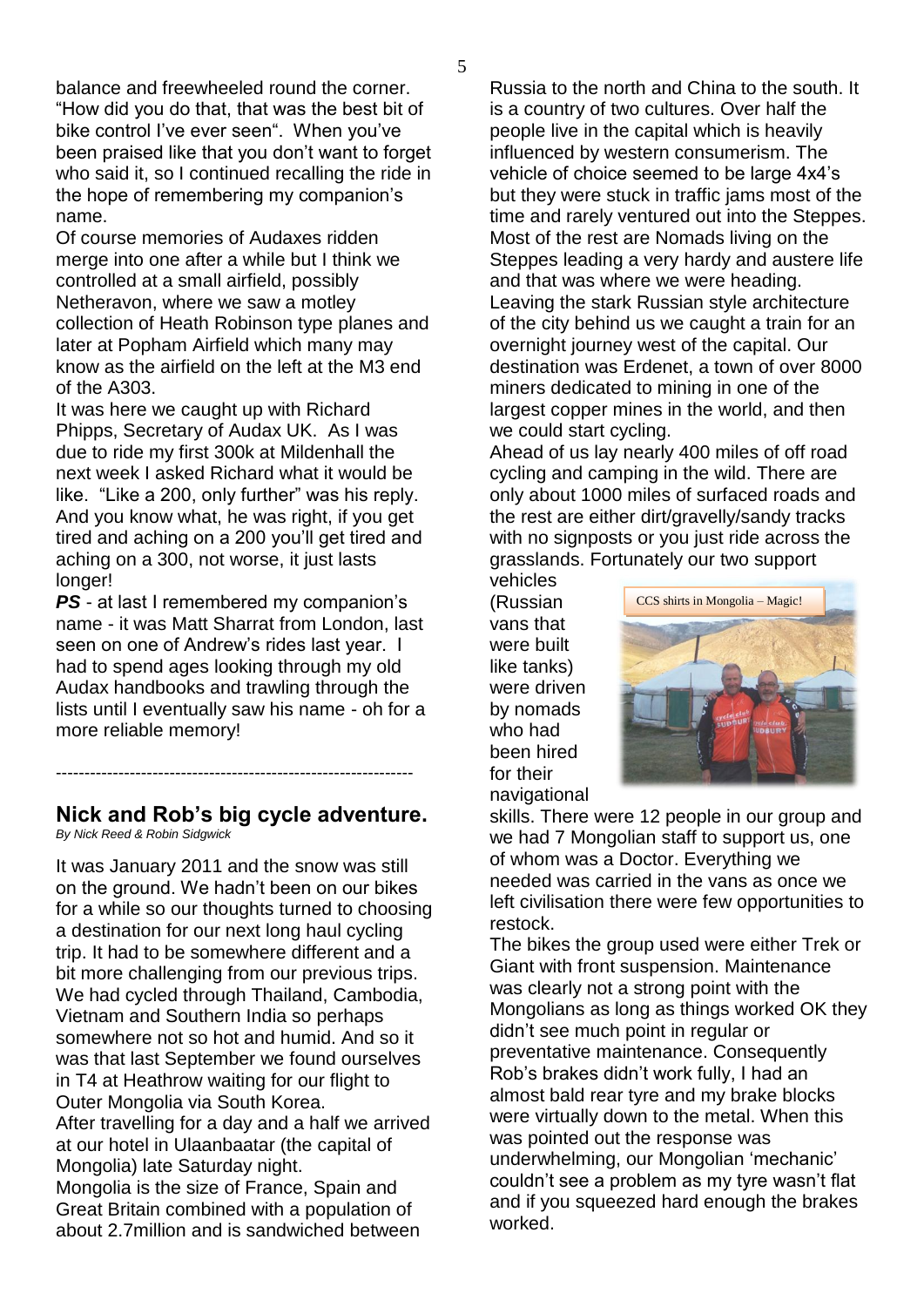balance and freewheeled round the corner. "How did you do that, that was the best bit of bike control I've ever seen". When you've been praised like that you don't want to forget who said it, so I continued recalling the ride in the hope of remembering my companion's name.

Of course memories of Audaxes ridden merge into one after a while but I think we controlled at a small airfield, possibly Netheravon, where we saw a motley collection of Heath Robinson type planes and later at Popham Airfield which many may know as the airfield on the left at the M3 end of the A303.

It was here we caught up with Richard Phipps, Secretary of Audax UK. As I was due to ride my first 300k at Mildenhall the next week I asked Richard what it would be like. "Like a 200, only further" was his reply. And you know what, he was right, if you get tired and aching on a 200 you'll get tired and aching on a 300, not worse, it just lasts longer!

*PS* - at last I remembered my companion's name - it was Matt Sharrat from London, last seen on one of Andrew's rides last year. I had to spend ages looking through my old Audax handbooks and trawling through the lists until I eventually saw his name - oh for a more reliable memory!

#### ---------------------------------------------------------------

#### **Nick and Rob's big cycle adventure.** *By Nick Reed & Robin Sidgwick*

It was January 2011 and the snow was still on the ground. We hadn't been on our bikes for a while so our thoughts turned to choosing a destination for our next long haul cycling trip. It had to be somewhere different and a bit more challenging from our previous trips. We had cycled through Thailand, Cambodia, Vietnam and Southern India so perhaps somewhere not so hot and humid. And so it was that last September we found ourselves in T4 at Heathrow waiting for our flight to Outer Mongolia via South Korea. After travelling for a day and a half we arrived at our hotel in Ulaanbaatar (the capital of Mongolia) late Saturday night. Mongolia is the size of France, Spain and Great Britain combined with a population of about 2.7million and is sandwiched between

Russia to the north and China to the south. It is a country of two cultures. Over half the people live in the capital which is heavily influenced by western consumerism. The vehicle of choice seemed to be large 4x4's but they were stuck in traffic jams most of the time and rarely ventured out into the Steppes. Most of the rest are Nomads living on the Steppes leading a very hardy and austere life and that was where we were heading. Leaving the stark Russian style architecture of the city behind us we caught a train for an overnight journey west of the capital. Our destination was Erdenet, a town of over 8000 miners dedicated to mining in one of the largest copper mines in the world, and then we could start cycling.

Ahead of us lay nearly 400 miles of off road cycling and camping in the wild. There are only about 1000 miles of surfaced roads and the rest are either dirt/gravelly/sandy tracks with no signposts or you just ride across the grasslands. Fortunately our two support

vehicles (Russian vans that were built like tanks) were driven by nomads who had been hired for their navigational



skills. There were 12 people in our group and we had 7 Mongolian staff to support us, one of whom was a Doctor. Everything we needed was carried in the vans as once we left civilisation there were few opportunities to restock.

The bikes the group used were either Trek or Giant with front suspension. Maintenance was clearly not a strong point with the Mongolians as long as things worked OK they didn't see much point in regular or preventative maintenance. Consequently Rob's brakes didn't work fully, I had an almost bald rear tyre and my brake blocks were virtually down to the metal. When this was pointed out the response was underwhelming, our Mongolian 'mechanic' couldn't see a problem as my tyre wasn't flat and if you squeezed hard enough the brakes worked.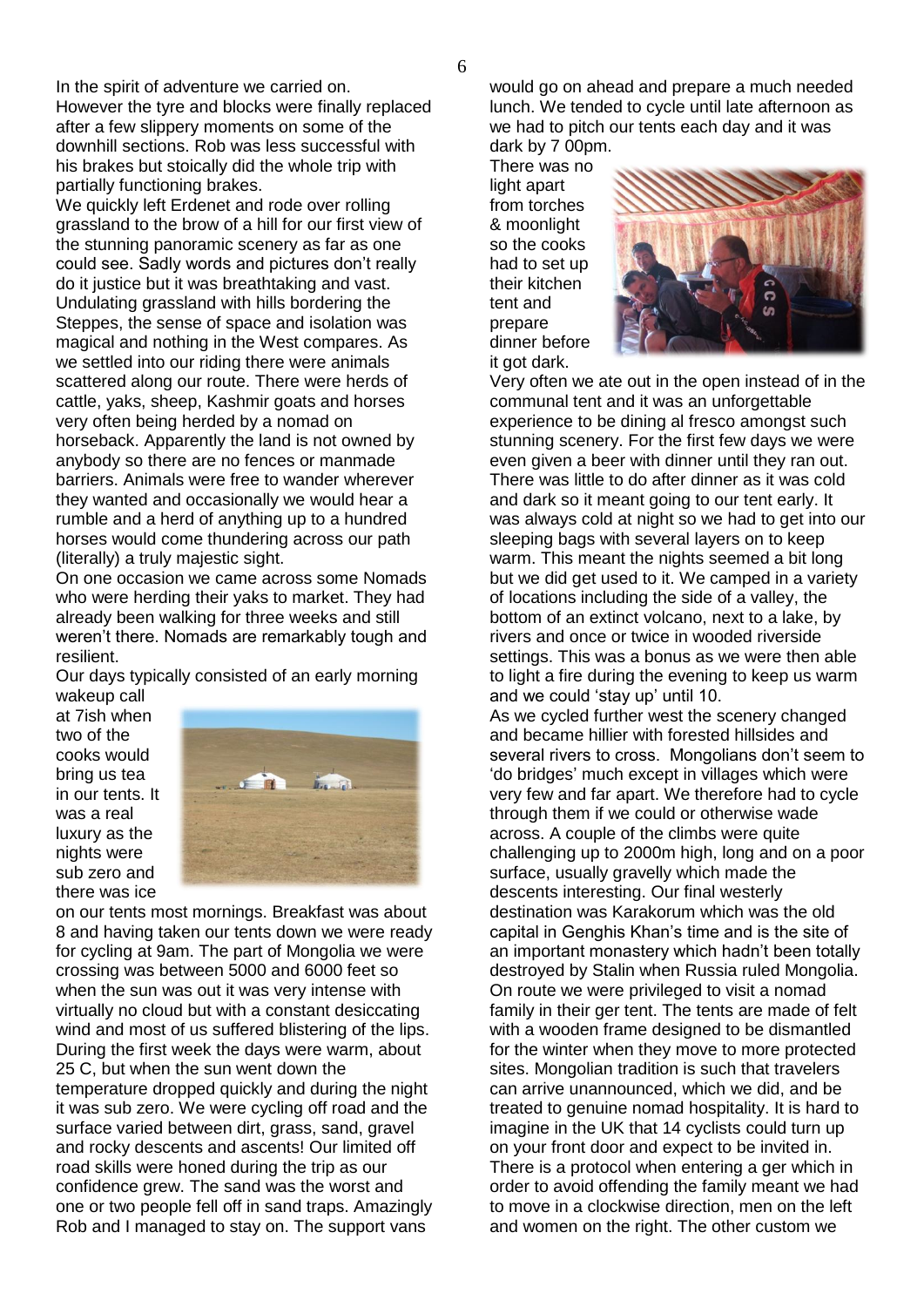In the spirit of adventure we carried on.

However the tyre and blocks were finally replaced after a few slippery moments on some of the downhill sections. Rob was less successful with his brakes but stoically did the whole trip with partially functioning brakes.

We quickly left Erdenet and rode over rolling grassland to the brow of a hill for our first view of the stunning panoramic scenery as far as one could see. Sadly words and pictures don't really do it justice but it was breathtaking and vast. Undulating grassland with hills bordering the Steppes, the sense of space and isolation was magical and nothing in the West compares. As we settled into our riding there were animals scattered along our route. There were herds of cattle, yaks, sheep, Kashmir goats and horses very often being herded by a nomad on horseback. Apparently the land is not owned by anybody so there are no fences or manmade barriers. Animals were free to wander wherever they wanted and occasionally we would hear a rumble and a herd of anything up to a hundred horses would come thundering across our path (literally) a truly majestic sight.

On one occasion we came across some Nomads who were herding their yaks to market. They had already been walking for three weeks and still weren't there. Nomads are remarkably tough and resilient.

Our days typically consisted of an early morning wakeup call

at 7ish when two of the cooks would bring us tea in our tents. It was a real luxury as the nights were sub zero and there was ice



on our tents most mornings. Breakfast was about 8 and having taken our tents down we were ready for cycling at 9am. The part of Mongolia we were crossing was between 5000 and 6000 feet so when the sun was out it was very intense with virtually no cloud but with a constant desiccating wind and most of us suffered blistering of the lips. During the first week the days were warm, about 25 C, but when the sun went down the temperature dropped quickly and during the night it was sub zero. We were cycling off road and the surface varied between dirt, grass, sand, gravel and rocky descents and ascents! Our limited off road skills were honed during the trip as our confidence grew. The sand was the worst and one or two people fell off in sand traps. Amazingly Rob and I managed to stay on. The support vans

would go on ahead and prepare a much needed lunch. We tended to cycle until late afternoon as we had to pitch our tents each day and it was dark by 7 00pm.

There was no light apart from torches & moonlight so the cooks had to set up their kitchen tent and prepare dinner before it got dark.



Very often we ate out in the open instead of in the communal tent and it was an unforgettable experience to be dining al fresco amongst such stunning scenery. For the first few days we were even given a beer with dinner until they ran out. There was little to do after dinner as it was cold and dark so it meant going to our tent early. It was always cold at night so we had to get into our sleeping bags with several layers on to keep warm. This meant the nights seemed a bit long but we did get used to it. We camped in a variety of locations including the side of a valley, the bottom of an extinct volcano, next to a lake, by rivers and once or twice in wooded riverside settings. This was a bonus as we were then able to light a fire during the evening to keep us warm and we could 'stay up' until 10.

As we cycled further west the scenery changed and became hillier with forested hillsides and several rivers to cross. Mongolians don't seem to 'do bridges' much except in villages which were very few and far apart. We therefore had to cycle through them if we could or otherwise wade across. A couple of the climbs were quite challenging up to 2000m high, long and on a poor surface, usually gravelly which made the descents interesting. Our final westerly destination was Karakorum which was the old capital in Genghis Khan's time and is the site of an important monastery which hadn't been totally destroyed by Stalin when Russia ruled Mongolia. On route we were privileged to visit a nomad family in their ger tent. The tents are made of felt with a wooden frame designed to be dismantled for the winter when they move to more protected sites. Mongolian tradition is such that travelers can arrive unannounced, which we did, and be treated to genuine nomad hospitality. It is hard to imagine in the UK that 14 cyclists could turn up on your front door and expect to be invited in. There is a protocol when entering a ger which in order to avoid offending the family meant we had to move in a clockwise direction, men on the left and women on the right. The other custom we